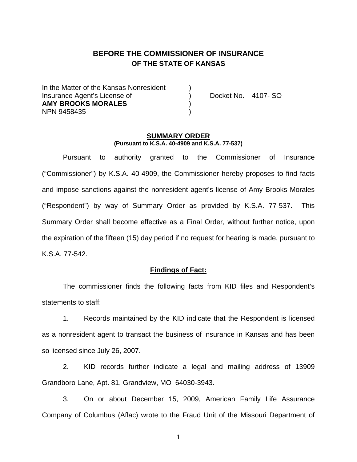# **BEFORE THE COMMISSIONER OF INSURANCE OF THE STATE OF KANSAS**

In the Matter of the Kansas Nonresident Insurance Agent's License of ) Docket No. 4107- SO **AMY BROOKS MORALES** ) NPN 9458435 )

#### **SUMMARY ORDER (Pursuant to K.S.A. 40-4909 and K.S.A. 77-537)**

 Pursuant to authority granted to the Commissioner of Insurance ("Commissioner") by K.S.A. 40-4909, the Commissioner hereby proposes to find facts and impose sanctions against the nonresident agent's license of Amy Brooks Morales ("Respondent") by way of Summary Order as provided by K.S.A. 77-537. This Summary Order shall become effective as a Final Order, without further notice, upon the expiration of the fifteen (15) day period if no request for hearing is made, pursuant to K.S.A. 77-542.

### **Findings of Fact:**

 The commissioner finds the following facts from KID files and Respondent's statements to staff:

 1. Records maintained by the KID indicate that the Respondent is licensed as a nonresident agent to transact the business of insurance in Kansas and has been so licensed since July 26, 2007.

 2. KID records further indicate a legal and mailing address of 13909 Grandboro Lane, Apt. 81, Grandview, MO 64030-3943.

 3. On or about December 15, 2009, American Family Life Assurance Company of Columbus (Aflac) wrote to the Fraud Unit of the Missouri Department of

1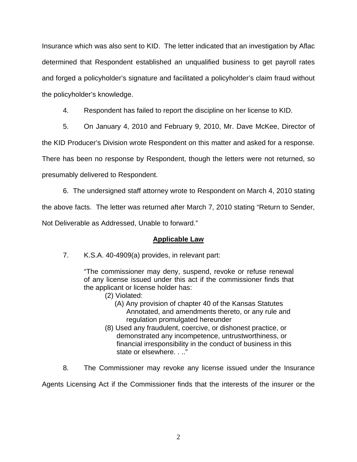Insurance which was also sent to KID. The letter indicated that an investigation by Aflac determined that Respondent established an unqualified business to get payroll rates and forged a policyholder's signature and facilitated a policyholder's claim fraud without the policyholder's knowledge.

4. Respondent has failed to report the discipline on her license to KID.

5. On January 4, 2010 and February 9, 2010, Mr. Dave McKee, Director of

the KID Producer's Division wrote Respondent on this matter and asked for a response.

There has been no response by Respondent, though the letters were not returned, so

presumably delivered to Respondent.

 6. The undersigned staff attorney wrote to Respondent on March 4, 2010 stating the above facts. The letter was returned after March 7, 2010 stating "Return to Sender, Not Deliverable as Addressed, Unable to forward."

## **Applicable Law**

7. K.S.A. 40-4909(a) provides, in relevant part:

"The commissioner may deny, suspend, revoke or refuse renewal of any license issued under this act if the commissioner finds that the applicant or license holder has:

- (2) Violated:
	- (A) Any provision of chapter 40 of the Kansas Statutes Annotated, and amendments thereto, or any rule and regulation promulgated hereunder
- (8) Used any fraudulent, coercive, or dishonest practice, or demonstrated any incompetence, untrustworthiness, or financial irresponsibility in the conduct of business in this state or elsewhere. . .."
- 8. The Commissioner may revoke any license issued under the Insurance

Agents Licensing Act if the Commissioner finds that the interests of the insurer or the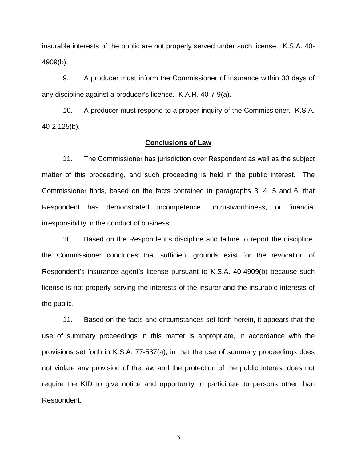insurable interests of the public are not properly served under such license. K.S.A. 40- 4909(b).

 9. A producer must inform the Commissioner of Insurance within 30 days of any discipline against a producer's license. K.A.R. 40-7-9(a).

 10. A producer must respond to a proper inquiry of the Commissioner. K.S.A. 40-2,125(b).

### **Conclusions of Law**

 11. The Commissioner has jurisdiction over Respondent as well as the subject matter of this proceeding, and such proceeding is held in the public interest. The Commissioner finds, based on the facts contained in paragraphs 3, 4, 5 and 6, that Respondent has demonstrated incompetence, untrustworthiness, or financial irresponsibility in the conduct of business.

 10. Based on the Respondent's discipline and failure to report the discipline, the Commissioner concludes that sufficient grounds exist for the revocation of Respondent's insurance agent's license pursuant to K.S.A. 40-4909(b) because such license is not properly serving the interests of the insurer and the insurable interests of the public.

 11. Based on the facts and circumstances set forth herein, it appears that the use of summary proceedings in this matter is appropriate, in accordance with the provisions set forth in K.S.A. 77-537(a), in that the use of summary proceedings does not violate any provision of the law and the protection of the public interest does not require the KID to give notice and opportunity to participate to persons other than Respondent.

3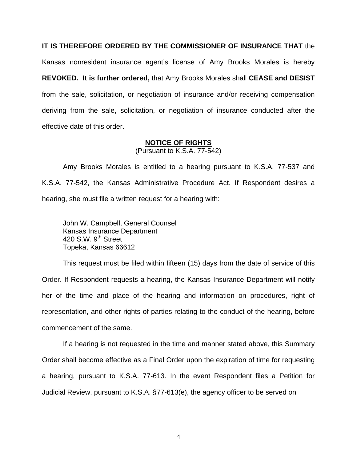**IT IS THEREFORE ORDERED BY THE COMMISSIONER OF INSURANCE THAT** the

Kansas nonresident insurance agent's license of Amy Brooks Morales is hereby **REVOKED. It is further ordered,** that Amy Brooks Morales shall **CEASE and DESIST** from the sale, solicitation, or negotiation of insurance and/or receiving compensation deriving from the sale, solicitation, or negotiation of insurance conducted after the effective date of this order.

#### **NOTICE OF RIGHTS**

(Pursuant to K.S.A. 77-542)

Amy Brooks Morales is entitled to a hearing pursuant to K.S.A. 77-537 and K.S.A. 77-542, the Kansas Administrative Procedure Act. If Respondent desires a hearing, she must file a written request for a hearing with:

 John W. Campbell, General Counsel Kansas Insurance Department 420 S.W.  $9^{th}$  Street Topeka, Kansas 66612

This request must be filed within fifteen (15) days from the date of service of this Order. If Respondent requests a hearing, the Kansas Insurance Department will notify her of the time and place of the hearing and information on procedures, right of representation, and other rights of parties relating to the conduct of the hearing, before commencement of the same.

If a hearing is not requested in the time and manner stated above, this Summary Order shall become effective as a Final Order upon the expiration of time for requesting a hearing, pursuant to K.S.A. 77-613. In the event Respondent files a Petition for Judicial Review, pursuant to K.S.A. §77-613(e), the agency officer to be served on